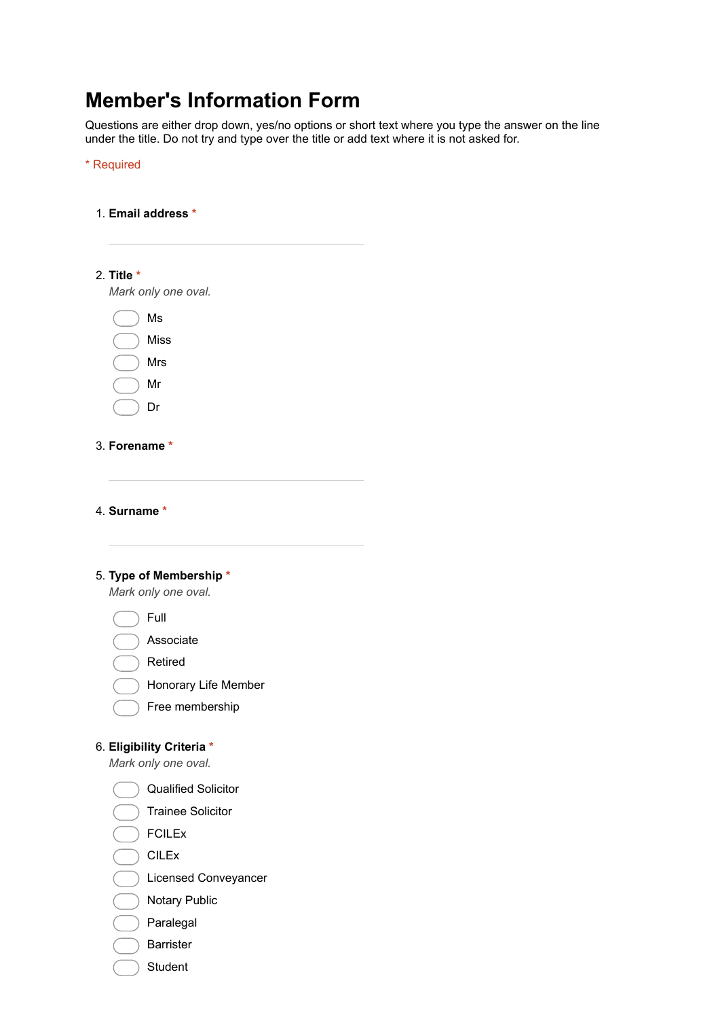# **Member's Information Form**

Questions are either drop down, yes/no options or short text where you type the answer on the line under the title. Do not try and type over the title or add text where it is not asked for.

\* Required

1. **Email address \***

| 2. Title $*$                                     |  |
|--------------------------------------------------|--|
| Mark only one oval.                              |  |
| Ms                                               |  |
| <b>Miss</b>                                      |  |
| Mrs                                              |  |
| Mr                                               |  |
| Dr                                               |  |
|                                                  |  |
| 3. Forename *                                    |  |
|                                                  |  |
|                                                  |  |
| 4. Surname *                                     |  |
|                                                  |  |
| 5. Type of Membership *                          |  |
| Mark only one oval.                              |  |
| Full                                             |  |
| Associate                                        |  |
| Retired                                          |  |
| Honorary Life Member                             |  |
| Free membership                                  |  |
|                                                  |  |
| 6. Eligibility Criteria *<br>Mark only one oval. |  |
|                                                  |  |
| <b>Qualified Solicitor</b>                       |  |
| <b>Trainee Solicitor</b>                         |  |
| <b>FCILEx</b>                                    |  |
| <b>CILEx</b>                                     |  |
| Licensed Conveyancer                             |  |
| <b>Notary Public</b>                             |  |
| Paralegal                                        |  |
| <b>Barrister</b>                                 |  |
| Student                                          |  |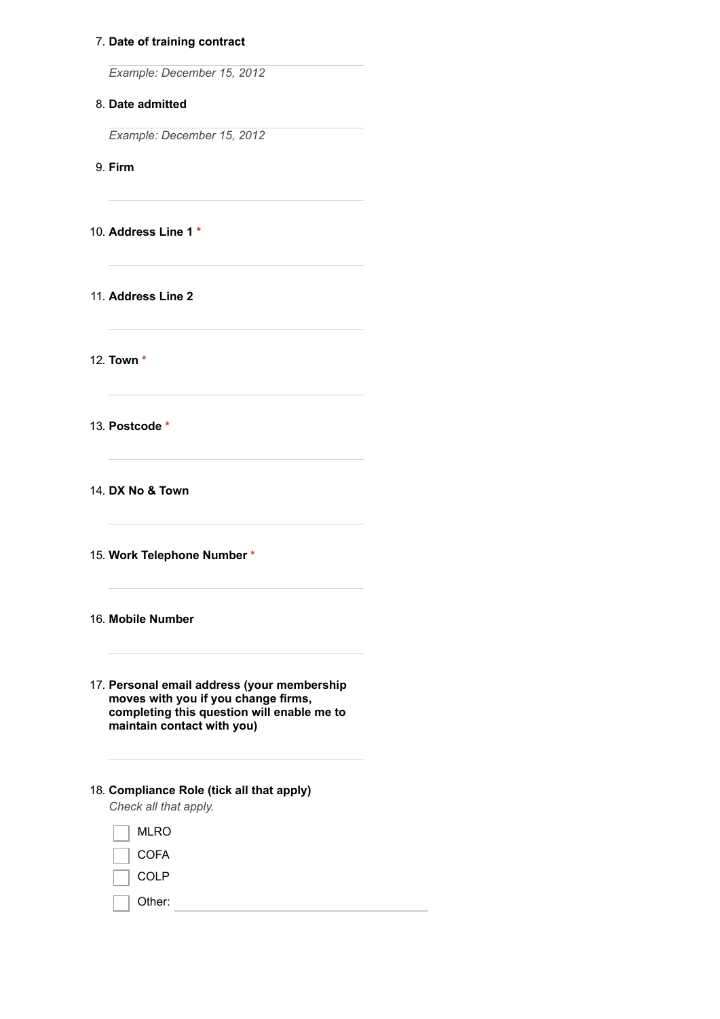## 7. **Date of training contract**

*Example: December 15, 2012*

## 8. **Date admitted**

*Example: December 15, 2012*

9. **Firm**

10. **Address Line 1 \***

11. **Address Line 2**

12. **Town \***

13. **Postcode \***

14. **DX No & Town**

15. **Work Telephone Number \***

### 16. **Mobile Number**

- 17. **Personal email address (your membership moves with you if you change firms, completing this question will enable me to maintain contact with you)**
- 18. **Compliance Role (tick all that apply)** *Check all that apply.*

MLRO **COFA** 

<u> 1980 - Johann Barbara, martx</u>

COLP

Other: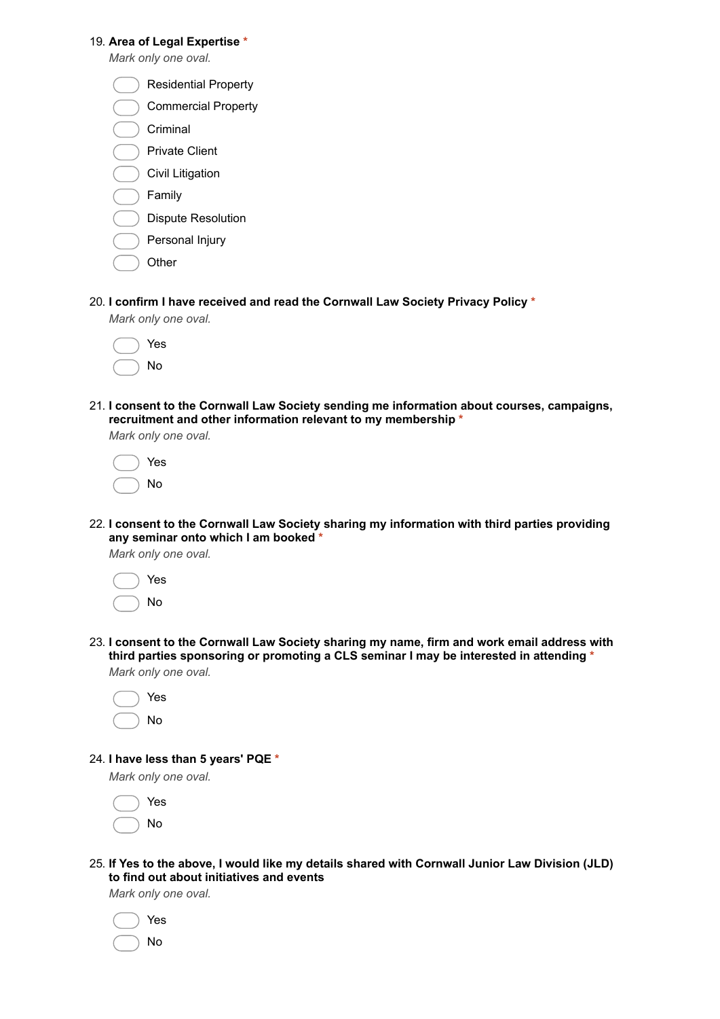### 19. **Area of Legal Expertise \***

*Mark only one oval.*

- Commercial Property
- Criminal
- Private Client
- Civil Litigation
- Family
- Dispute Resolution
- Personal Injury
- **Other**
- 20. **I confirm I have received and read the Cornwall Law Society Privacy Policy \***

*Mark only one oval.*

|  | Yes |
|--|-----|
|  | Nο  |

21. **I consent to the Cornwall Law Society sending me information about courses, campaigns, recruitment and other information relevant to my membership \***

*Mark only one oval.*

|  | Yes |
|--|-----|
|  | No  |

22. **I consent to the Cornwall Law Society sharing my information with third parties providing any seminar onto which I am booked \***

*Mark only one oval.*

|  | Yes |
|--|-----|
|  | No  |

23. **I consent to the Cornwall Law Society sharing my name, firm and work email address with third parties sponsoring or promoting a CLS seminar I may be interested in attending \*** *Mark only one oval.*

|  | Yes |
|--|-----|
|  | No  |

24. **I have less than 5 years' PQE \***

*Mark only one oval.*



25. **If Yes to the above, I would like my details shared with Cornwall Junior Law Division (JLD) to find out about initiatives and events**

*Mark only one oval.*

|  | Yes |
|--|-----|
|  | No  |